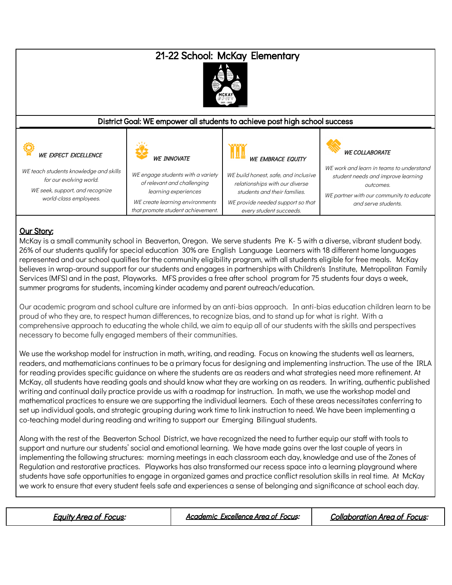# 21-22 School: McKay Elementary



#### District Goal: WE empower all students to achieve post high school success

| <b>WE EXPECT EXCELLENCE</b>                                                                                                    | <b>WE INNOVATE</b>                                                                                                                                               | <b>WE EMBRACE EQUITY</b>                                                                                                                                               | <b>WE COLLABORATE</b>                                                                                                                                          |
|--------------------------------------------------------------------------------------------------------------------------------|------------------------------------------------------------------------------------------------------------------------------------------------------------------|------------------------------------------------------------------------------------------------------------------------------------------------------------------------|----------------------------------------------------------------------------------------------------------------------------------------------------------------|
| WE teach students knowledge and skills<br>for our evolving world.<br>WE seek, support, and recognize<br>world-class employees. | WE engage students with a variety<br>of relevant and challenging<br>learning experiences<br>WE create learning environments<br>that promote student achievement. | WE build honest, safe, and inclusive<br>relationships with our diverse<br>students and their families.<br>WE provide needed support so that<br>every student succeeds. | WE work and learn in teams to understand<br>student needs and improve learning<br>outcomes.<br>WE partner with our community to educate<br>and serve students. |

### **Our Story:**

McKay is a small community school in Beaverton, Oregon. We serve students Pre K- 5 with a diverse, vibrant student body. 26% of our students qualify for special education 30% are English Language Learners with 18 different home languages represented and our school qualifies for the community eligibility program, with all students eligible for free meals. McKay believes in wrap-around support for our students and engages in partnerships with Children's Institute, Metropolitan Family Services (MFS) and in the past, Playworks. MFS provides a free after school program for 75 students four days a week, summer programs for students, incoming kinder academy and parent outreach/education.

Our academic program and school culture are informed by an anti-bias approach. In anti-bias education children learn to be proud of who they are, to respect human differences, to recognize bias, and to stand up for what is right. With a comprehensive approach to educating the whole child, we aim to equip all of our students with the skills and perspectives necessary to become fully engaged members of their communities.

We use the workshop model for instruction in math, writing, and reading. Focus on knowing the students well as learners, readers, and mathematicians continues to be a primary focus for designing and implementing instruction. The use of the IRLA for reading provides specific guidance on where the students are as readers and what strategies need more refinement. At McKay, all students have reading goals and should know what they are working on as readers. In writing, authentic published writing and continual daily practice provide us with a roadmap for instruction. In math, we use the workshop model and mathematical practices to ensure we are supporting the individual learners. Each of these areas necessitates conferring to set up individual goals, and strategic grouping during work time to link instruction to need. We have been implementing a co-teaching model during reading and writing to support our Emerging Bilingual students.

Along with the rest of the Beaverton School District, we have recognized the need to further equip our staff with tools to support and nurture our students' social and emotional learning. We have made gains over the last couple of years in implementing the following structures: morning meetings in each classroom each day, knowledge and use of the Zones of Regulation and restorative practices. Playworks has also transformed our recess space into a learning playground where students have safe opportunities to engage in organized games and practice conflict resolution skills in real time. At McKay we work to ensure that every student feels safe and experiences a sense of belonging and significance at school each day.

Equity Area of Focus: Academic Excellence Area of Focus: Collaboration Area of Focus: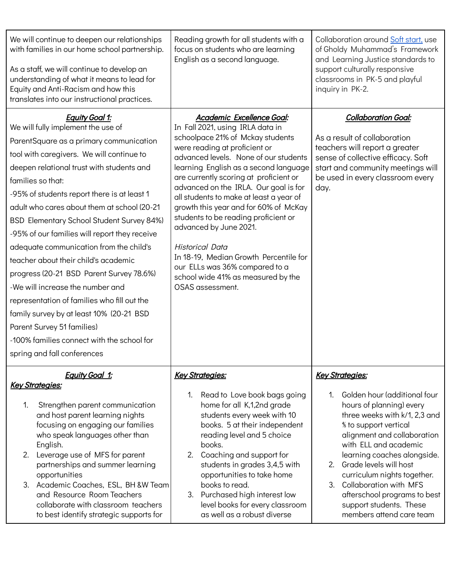| We will continue to deepen our relationships<br>with families in our home school partnership.<br>As a staff, we will continue to develop an<br>understanding of what it means to lead for<br>Equity and Anti-Racism and how this<br>translates into our instructional practices.                                                                                                                                                                                                                                                                                                                                                                                                                                                                                                            | Reading growth for all students with a<br>focus on students who are learning<br>English as a second language.                                                                                                                                                                                                                                                                                                                                                                                                                                                                                                                 | Collaboration around Soft start, use<br>of Gholdy Muhammad's Framework<br>and Learning Justice standards to<br>support culturally responsive<br>classrooms in PK-5 and playful<br>inquiry in PK-2.                                                                                                                                                                                                                                                             |
|---------------------------------------------------------------------------------------------------------------------------------------------------------------------------------------------------------------------------------------------------------------------------------------------------------------------------------------------------------------------------------------------------------------------------------------------------------------------------------------------------------------------------------------------------------------------------------------------------------------------------------------------------------------------------------------------------------------------------------------------------------------------------------------------|-------------------------------------------------------------------------------------------------------------------------------------------------------------------------------------------------------------------------------------------------------------------------------------------------------------------------------------------------------------------------------------------------------------------------------------------------------------------------------------------------------------------------------------------------------------------------------------------------------------------------------|----------------------------------------------------------------------------------------------------------------------------------------------------------------------------------------------------------------------------------------------------------------------------------------------------------------------------------------------------------------------------------------------------------------------------------------------------------------|
| <b>Equity Goal 1:</b><br>We will fully implement the use of<br>ParentSquare as a primary communication<br>tool with caregivers. We will continue to<br>deepen relational trust with students and<br>families so that:<br>-95% of students report there is at least 1<br>adult who cares about them at school (20-21)<br>BSD Elementary School Student Survey 84%)<br>-95% of our families will report they receive<br>adequate communication from the child's<br>teacher about their child's academic<br>progress (20-21 BSD Parent Survey 78.6%)<br>-We will increase the number and<br>representation of families who fill out the<br>family survey by at least 10% (20-21 BSD<br>Parent Survey 51 families)<br>-100% families connect with the school for<br>spring and fall conferences | Academic Excellence Goal:<br>In Fall 2021, using IRLA data in<br>schoolpace 21% of Mckay students<br>were reading at proficient or<br>advanced levels. None of our students<br>learning English as a second language<br>are currently scoring at proficient or<br>advanced on the IRLA. Our goal is for<br>all students to make at least a year of<br>growth this year and for 60% of McKay<br>students to be reading proficient or<br>advanced by June 2021.<br><b>Historical Data</b><br>In 18-19, Median Growth Percentile for<br>our ELLs was 36% compared to a<br>school wide 41% as measured by the<br>OSAS assessment. | <b>Collaboration Goal:</b><br>As a result of collaboration<br>teachers will report a greater<br>sense of collective efficacy. Soft<br>start and community meetings will<br>be used in every classroom every<br>day.                                                                                                                                                                                                                                            |
| <b>Equity Goal 1:</b><br><b>Key Strategies:</b><br>Strengthen parent communication<br>1.<br>and host parent learning nights<br>focusing on engaging our families<br>who speak languages other than<br>English.<br>2. Leverage use of MFS for parent<br>partnerships and summer learning<br>opportunities<br>3. Academic Coaches, ESL, BH &W Team<br>and Resource Room Teachers<br>collaborate with classroom teachers<br>to best identify strategic supports for                                                                                                                                                                                                                                                                                                                            | <b>Key Strategies:</b><br>Read to Love book bags going<br>1.<br>home for all K,1,2nd grade<br>students every week with 10<br>books. 5 at their independent<br>reading level and 5 choice<br>books.<br>2. Coaching and support for<br>students in grades 3,4,5 with<br>opportunities to take home<br>books to read.<br>3. Purchased high interest low<br>level books for every classroom<br>as well as a robust diverse                                                                                                                                                                                                        | <b>Key Strategies:</b><br>Golden hour (additional four<br>hours of planning) every<br>three weeks with k/1, 2,3 and<br><i><b>% to support vertical</b></i><br>alignment and collaboration<br>with ELL and academic<br>learning coaches alongside.<br>Grade levels will host<br>2 <sub>1</sub><br>curriculum nights together.<br>Collaboration with MFS<br>$\mathcal{E}$<br>afterschool programs to best<br>support students. These<br>members attend care team |